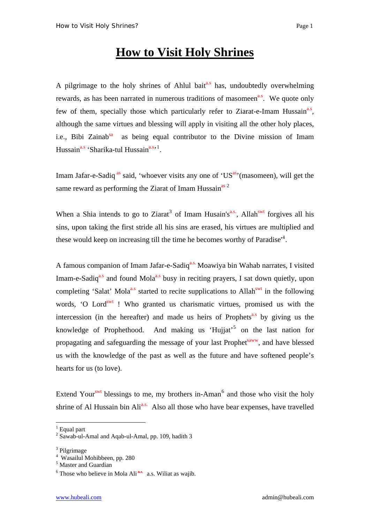## **How to Visit Holy Shrines**

A pilgrimage to the holy shrines of Ahlul bait<sup>a.s</sup> has, undoubtedly overwhelming rewards, as has been narrated in numerous traditions of masomeen<sup>a.s</sup>. We quote only few of them, specially those which particularly refer to Ziarat-e-Imam Hussain<sup>a.s</sup>, although the same virtues and blessing will apply in visiting all the other holy places, i.e., Bibi Zainab<sup>sa</sup> as being equal contributor to the Divine mission of Imam Hussain<sup>a.s</sup> 'Sharika-tul Hussain<sup>a.s, [1](#page-0-0)</sup>.

Imam Jafar-e-Sadiq as said, 'whoever visits any one of 'US<sup>as</sup>'(masomeen), will get the same reward as performing the Ziarat of Imam Hussain<sup>as [2](#page-0-1)</sup>

When a Shia intends to go to Ziarat<sup>[3](#page-0-2)</sup> of Imam Husain's<sup>a.s.</sup>, Allah<sup>swt</sup> forgives all his sins, upon taking the first stride all his sins are erased, his virtues are multiplied and these would keep on increasing till the time he becomes worthy of Paradise<sup>1[4](#page-0-3)</sup>.

A famous companion of Imam Jafar-e-Sadiq<sup>a.s.</sup> Moawiya bin Wahab narrates, I visited Imam-e-Sadiq<sup>a.s</sup> and found Mola<sup>a.s</sup> busy in reciting prayers, I sat down quietly, upon completing 'Salat' Mola<sup>a.s</sup> started to recite supplications to Allah<sup>swt</sup> in the following words, 'O Lord<sup>swt</sup> ! Who granted us charismatic virtues, promised us with the intercession (in the hereafter) and made us heirs of Prophets<sup>a.s</sup> by giving us the knowledge of Prophethood. And making us 'Hujjat'<sup>[5](#page-0-4)</sup> on the last nation for propagating and safeguarding the message of your last Prophet<sup>saww</sup>, and have blessed us with the knowledge of the past as well as the future and have softened people's hearts for us (to love).

Extend Your<sup>swt</sup> blessings to me, my brothers in-Aman<sup>[6](#page-0-5)</sup> and those who visit the holy shrine of Al Hussain bin Ali<sup>a.s.</sup> Also all those who have bear expenses, have travelled

<span id="page-0-0"></span><sup>&</sup>lt;sup>1</sup> Equal part

<span id="page-0-1"></span><sup>&</sup>lt;sup>2</sup> Sawab-ul-Amal and Aqab-ul-Amal, pp. 109, hadith 3

<span id="page-0-2"></span><sup>&</sup>lt;sup>3</sup> Pilgrimage

<span id="page-0-3"></span><sup>4</sup> Wasailul Mohibbeen, pp. 280

<span id="page-0-4"></span><sup>5</sup> Master and Guardian

<span id="page-0-5"></span> $6$  Those who believe in Mola Ali<sup>a.s.</sup> a.s. Wiliat as wajib.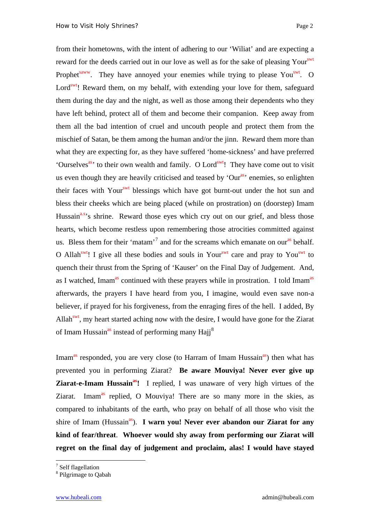from their hometowns, with the intent of adhering to our 'Wiliat' and are expecting a reward for the deeds carried out in our love as well as for the sake of pleasing Yours<sup>swt</sup> Prophet<sup>saww</sup>. They have annoyed your enemies while trying to please You<sup>swt</sup>. O Lord<sup>swt</sup>! Reward them, on my behalf, with extending your love for them, safeguard them during the day and the night, as well as those among their dependents who they have left behind, protect all of them and become their companion. Keep away from them all the bad intention of cruel and uncouth people and protect them from the mischief of Satan, be them among the human and/or the jinn. Reward them more than what they are expecting for, as they have suffered 'home-sickness' and have preferred 'Ourselves<sup>as</sup>' to their own wealth and family. O Lord<sup>swt</sup>! They have come out to visit us even though they are heavily criticised and teased by 'Our<sup>as</sup>' enemies, so enlighten their faces with Your<sup>swt</sup> blessings which have got burnt-out under the hot sun and bless their cheeks which are being placed (while on prostration) on (doorstep) Imam Hussain<sup>a.s</sup>'s shrine. Reward those eyes which cry out on our grief, and bless those hearts, which become restless upon remembering those atrocities committed against us. Bless them for their 'matam'<sup>[7](#page-1-0)</sup> and for the screams which emanate on our<sup>as</sup> behalf. O Allah<sup>swt</sup>! I give all these bodies and souls in Your<sup>swt</sup> care and pray to You<sup>swt</sup> to quench their thrust from the Spring of 'Kauser' on the Final Day of Judgement. And, as I watched, Imam<sup>as</sup> continued with these prayers while in prostration. I told Imam<sup>as</sup> afterwards, the prayers I have heard from you, I imagine, would even save non-a believer, if prayed for his forgiveness, from the enraging fires of the hell. I added, By Allah<sup>swt</sup>, my heart started aching now with the desire, I would have gone for the Ziarat of Imam Hussain<sup>as</sup> instead of performing many Hajj<sup>[8](#page-1-1)</sup>

Imam<sup>as</sup> responded, you are very close (to Harram of Imam Hussain<sup>as</sup>) then what has prevented you in performing Ziarat? **Be aware Mouviya! Never ever give up Ziarat-e-Imam Hussain<sup>as</sup>!** I replied, I was unaware of very high virtues of the Ziarat. Imam<sup>as</sup> replied, O Mouviya! There are so many more in the skies, as compared to inhabitants of the earth, who pray on behalf of all those who visit the shire of Imam (Hussain<sup>as</sup>). **I warn you! Never ever abandon our Ziarat for any kind of fear/threat**. **Whoever would shy away from performing our Ziarat will regret on the final day of judgement and proclaim, alas! I would have stayed** 

<span id="page-1-0"></span>7 Self flagellation

<span id="page-1-1"></span><sup>8</sup> Pilgrimage to Qabah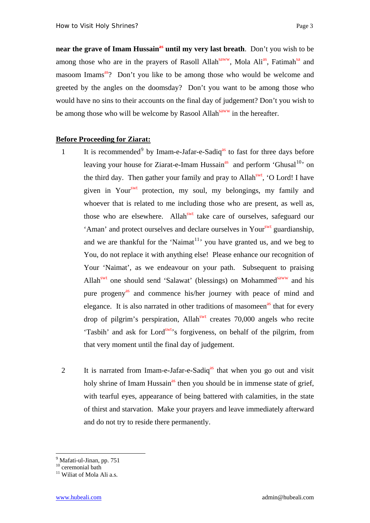**near the grave of Imam Hussain<sup>as</sup> until my very last breath**. Don't you wish to be among those who are in the prayers of Rasoll Allah<sup>saww</sup>, Mola Ali<sup>as</sup>, Fatimah<sup>sa</sup> and masoom Imams<sup>as</sup>? Don't you like to be among those who would be welcome and greeted by the angles on the doomsday? Don't you want to be among those who would have no sins to their accounts on the final day of judgement? Don't you wish to be among those who will be welcome by Rasool Allah<sup>saww</sup> in the hereafter.

## **Before Proceeding for Ziarat:**

- 1 It is recommended<sup>[9](#page-2-0)</sup> by Imam-e-Jafar-e-Sadiq<sup>as</sup> to fast for three days before leaving your house for Ziarat-e-Imam Hussain<sup>as</sup> and perform 'Ghusal<sup>[10](#page-2-1)</sup>' on the third day. Then gather your family and pray to Allah<sup>swt</sup>, 'O Lord! I have given in Your<sup>swt</sup> protection, my soul, my belongings, my family and whoever that is related to me including those who are present, as well as, those who are elsewhere. Allah<sup>swt</sup> take care of ourselves, safeguard our 'Aman' and protect ourselves and declare ourselves in Your<sup>swt</sup> guardianship, and we are thankful for the 'Naimat<sup>[11](#page-2-2)</sup>' you have granted us, and we beg to You, do not replace it with anything else! Please enhance our recognition of Your 'Naimat', as we endeavour on your path. Subsequent to praising Allah<sup>swt</sup> one should send 'Salawat' (blessings) on Mohammed<sup>saww</sup> and his pure progeny<sup>as</sup> and commence his/her journey with peace of mind and elegance. It is also narrated in other traditions of masomeen<sup>as</sup> that for every drop of pilgrim's perspiration, Allah<sup>swt</sup> creates 70,000 angels who recite 'Tasbih' and ask for Lord<sup>swt</sup>'s forgiveness, on behalf of the pilgrim, from that very moment until the final day of judgement.
- 2 It is narrated from Imam-e-Jafar-e-Sadiq<sup>as</sup> that when you go out and visit holy shrine of Imam Hussain<sup>as</sup> then you should be in immense state of grief, with tearful eyes, appearance of being battered with calamities, in the state of thirst and starvation. Make your prayers and leave immediately afterward and do not try to reside there permanently.

<sup>&</sup>lt;sup>9</sup> Mafati-ul-Jinan, pp. 751

<span id="page-2-1"></span><span id="page-2-0"></span><sup>&</sup>lt;sup>10</sup> ceremonial bath

<span id="page-2-2"></span><sup>&</sup>lt;sup>11</sup> Wiliat of Mola Ali a.s.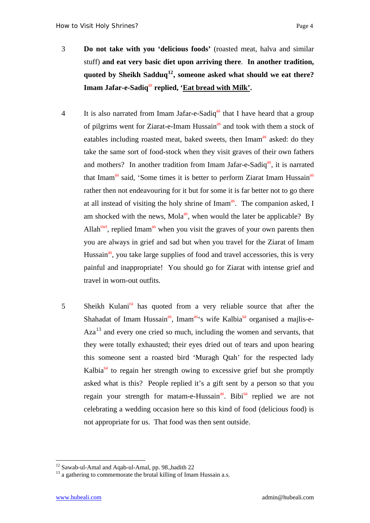- 3 **Do not take with you 'delicious foods'** (roasted meat, halva and similar stuff) **and eat very basic diet upon arriving there**. **In another tradition, quoted by Sheikh Sadduq[12](#page-3-0), someone asked what should we eat there?**  Imam Jafar-e-Sadiq<sup>as</sup> replied, 'Eat bread with Milk'.
- 4 It is also narrated from Imam Jafar-e-Sadiq<sup>as</sup> that I have heard that a group of pilgrims went for Ziarat-e-Imam Hussain<sup>as</sup> and took with them a stock of eatables including roasted meat, baked sweets, then Imam<sup>as</sup> asked: do they take the same sort of food-stock when they visit graves of their own fathers and mothers? In another tradition from Imam Jafar-e-Sadiq<sup>as</sup>, it is narrated that Imam<sup>as</sup> said, 'Some times it is better to perform Ziarat Imam Hussain<sup>as</sup> rather then not endeavouring for it but for some it is far better not to go there at all instead of visiting the holy shrine of Imam<sup>as</sup>. The companion asked, I am shocked with the news, Mola<sup>as</sup>, when would the later be applicable? By Allah<sup>swt</sup>, replied Imam<sup>as</sup> when you visit the graves of your own parents then you are always in grief and sad but when you travel for the Ziarat of Imam Hussain<sup>as</sup>, you take large supplies of food and travel accessories, this is very painful and inappropriate! You should go for Ziarat with intense grief and travel in worn-out outfits.
- 5 Sheikh Kulani<sup>ra</sup> has quoted from a very reliable source that after the Shahadat of Imam Hussain<sup>as</sup>, Imam<sup>as</sup>'s wife Kalbia<sup>sa</sup> organised a mailis-e- $Aza<sup>13</sup>$  $Aza<sup>13</sup>$  $Aza<sup>13</sup>$  and every one cried so much, including the women and servants, that they were totally exhausted; their eyes dried out of tears and upon hearing this someone sent a roasted bird 'Muragh Qtah' for the respected lady Kalbia<sup>sa</sup> to regain her strength owing to excessive grief but she promptly asked what is this? People replied it's a gift sent by a person so that you regain your strength for matam-e-Hussain<sup>as</sup>. Bibi<sup>sa</sup> replied we are not celebrating a wedding occasion here so this kind of food (delicious food) is not appropriate for us. That food was then sent outside.

<sup>&</sup>lt;u>.</u> <sup>12</sup> Sawab-ul-Amal and Aqab-ul-Amal, pp. 98.,hadith 22

<span id="page-3-1"></span><span id="page-3-0"></span> $13$  a gathering to commemorate the brutal killing of Imam Hussain a.s.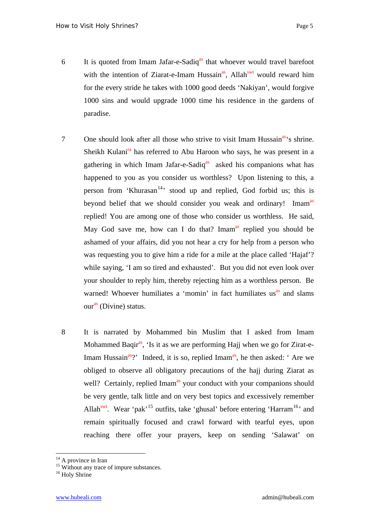- 6 It is quoted from Imam Jafar-e-Sadiq<sup>as</sup> that whoever would travel barefoot with the intention of Ziarat-e-Imam Hussain<sup>as</sup>, Allah<sup>swt</sup> would reward him for the every stride he takes with 1000 good deeds 'Nakiyan', would forgive 1000 sins and would upgrade 1000 time his residence in the gardens of paradise.
- 7 One should look after all those who strive to visit Imam Hussain<sup>as'</sup>s shrine. Sheikh Kulani<sup>ra</sup> has referred to Abu Haroon who says, he was present in a gathering in which Imam Jafar-e-Sadiq<sup>as</sup> asked his companions what has happened to you as you consider us worthless? Upon listening to this, a person from 'Khurasan<sup>[14](#page-4-0)</sup>' stood up and replied, God forbid us; this is beyond belief that we should consider you weak and ordinary! Imam<sup>as</sup> replied! You are among one of those who consider us worthless. He said, May God save me, how can I do that? Imam<sup>as</sup> replied you should be ashamed of your affairs, did you not hear a cry for help from a person who was requesting you to give him a ride for a mile at the place called 'Hajaf'? while saying, 'I am so tired and exhausted'. But you did not even look over your shoulder to reply him, thereby rejecting him as a worthless person. Be warned! Whoever humiliates a 'momin' in fact humiliates us<sup>as</sup> and slams our<sup>as</sup> (Divine) status.
- 8 It is narrated by Mohammed bin Muslim that I asked from Imam Mohammed Baqi $r^{as}$ , 'Is it as we are performing Hajj when we go for Zirat-e-Imam Hussain<sup>as</sup>?' Indeed, it is so, replied Imam<sup>as</sup>, he then asked: 'Are we obliged to observe all obligatory precautions of the hajj during Ziarat as well? Certainly, replied Imam<sup>as</sup> your conduct with your companions should be very gentle, talk little and on very best topics and excessively remember Allah<sup>swt</sup>. Wear 'pak'<sup>[15](#page-4-1)</sup> outfits, take 'ghusal' before entering 'Harram<sup>[16](#page-4-2)</sup>' and remain spiritually focused and crawl forward with tearful eyes, upon reaching there offer your prayers, keep on sending 'Salawat' on

<span id="page-4-0"></span><sup>&</sup>lt;sup>14</sup> A province in Iran

<span id="page-4-1"></span><sup>&</sup>lt;sup>15</sup> Without any trace of impure substances.

<span id="page-4-2"></span><sup>&</sup>lt;sup>16</sup> Holy Shrine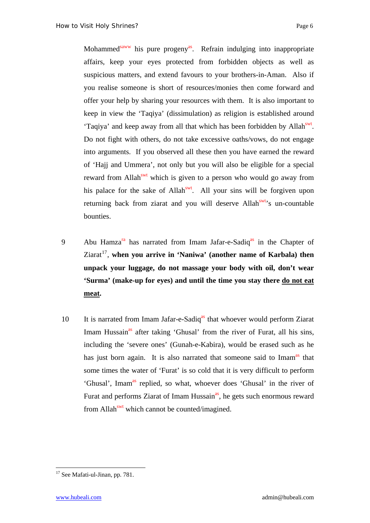Mohammed<sup>saww</sup> his pure progeny<sup>as</sup>. Refrain indulging into inappropriate affairs, keep your eyes protected from forbidden objects as well as suspicious matters, and extend favours to your brothers-in-Aman. Also if you realise someone is short of resources/monies then come forward and offer your help by sharing your resources with them. It is also important to keep in view the 'Taqiya' (dissimulation) as religion is established around 'Taqiya' and keep away from all that which has been forbidden by Allah<sup>swt</sup>. Do not fight with others, do not take excessive oaths/vows, do not engage into arguments. If you observed all these then you have earned the reward of 'Hajj and Ummera', not only but you will also be eligible for a special reward from Allah<sup>swt</sup> which is given to a person who would go away from his palace for the sake of Allah<sup>swt</sup>. All your sins will be forgiven upon returning back from ziarat and you will deserve Allah<sup>swt</sup>'s un-countable bounties.

- 9 Abu Hamza<sup>ra</sup> has narrated from Imam Jafar-e-Sadiq<sup>as</sup> in the Chapter of Ziarat<sup>[17](#page-5-0)</sup>, when you arrive in 'Naniwa' (another name of Karbala) then **unpack your luggage, do not massage your body with oil, don't wear 'Surma' (make-up for eyes) and until the time you stay there do not eat meat.**
- 10 It is narrated from Imam Jafar-e-Sadiq<sup>as</sup> that whoever would perform Ziarat Imam Hussain<sup>as</sup> after taking 'Ghusal' from the river of Furat, all his sins, including the 'severe ones' (Gunah-e-Kabira), would be erased such as he has just born again. It is also narrated that someone said to Imam<sup>as</sup> that some times the water of 'Furat' is so cold that it is very difficult to perform 'Ghusal', Imam<sup>as</sup> replied, so what, whoever does 'Ghusal' in the river of Furat and performs Ziarat of Imam Hussain<sup>as</sup>, he gets such enormous reward from Allah<sup>swt</sup> which cannot be counted/imagined.

<span id="page-5-0"></span><sup>&</sup>lt;sup>17</sup> See Mafati-ul-Jinan, pp. 781.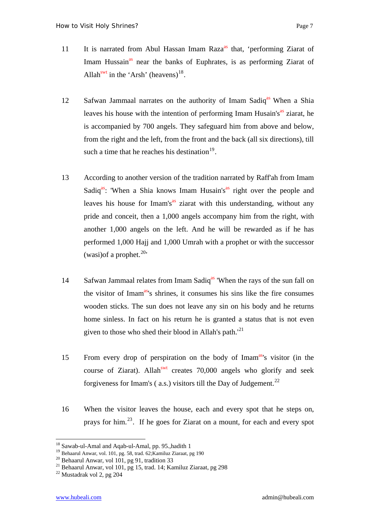- 11 It is narrated from Abul Hassan Imam Raza<sup>as</sup> that, 'performing Ziarat of Imam Hussain<sup>as</sup> near the banks of Euphrates, is as performing Ziarat of Allah<sup>swt</sup> in the 'Arsh' (heavens)<sup>[18](#page-6-0)</sup>.
- 12 Safwan Jammaal narrates on the authority of Imam Sadiq<sup>as</sup> When a Shia leaves his house with the intention of performing Imam Husain's<sup>as</sup> ziarat, he is accompanied by 700 angels. They safeguard him from above and below, from the right and the left, from the front and the back (all six directions), till such a time that he reaches his destination $19$ .
- 13 According to another version of the tradition narrated by Raff'ah from Imam Sadiq<sup>as</sup>: 'When a Shia knows Imam Husain's<sup>as</sup> right over the people and leaves his house for Imam's $^{as}$  ziarat with this understanding, without any pride and conceit, then a 1,000 angels accompany him from the right, with another 1,000 angels on the left. And he will be rewarded as if he has performed 1,000 Hajj and 1,000 Umrah with a prophet or with the successor (wasi)of a prophet. $20'$  $20'$
- 14 Safwan Jammaal relates from Imam Sadiq<sup>as</sup> 'When the rays of the sun fall on the visitor of Imam<sup>as'</sup>s shrines, it consumes his sins like the fire consumes wooden sticks. The sun does not leave any sin on his body and he returns home sinless. In fact on his return he is granted a status that is not even given to those who shed their blood in Allah's path. $^{21}$  $^{21}$  $^{21}$
- 15 From every drop of perspiration on the body of Imamas's visitor (in the course of Ziarat). Allah<sup>swt</sup> creates 70,000 angels who glorify and seek forgiveness for Imam's (a.s.) visitors till the Day of Judgement.<sup>[22](#page-6-4)</sup>
- 16 When the visitor leaves the house, each and every spot that he steps on, prays for him.<sup>[23](#page-6-5)</sup>. If he goes for Ziarat on a mount, for each and every spot

<span id="page-6-5"></span><span id="page-6-0"></span><sup>&</sup>lt;sup>18</sup> Sawab-ul-Amal and Aqab-ul-Amal, pp. 95., hadith 1

<sup>19</sup> Behaarul Anwar, vol. 101, pg. 58, trad. 62;Kamiluz Ziaraat, pg 190

<span id="page-6-2"></span><span id="page-6-1"></span><sup>&</sup>lt;sup>20</sup> Behaarul Anwar, vol 101, pg 91, tradition 33

<span id="page-6-3"></span><sup>21</sup> Behaarul Anwar, vol 101, pg 15, trad. 14; Kamiluz Ziaraat, pg 298

<span id="page-6-4"></span> $22$  Mustadrak vol 2, pg 204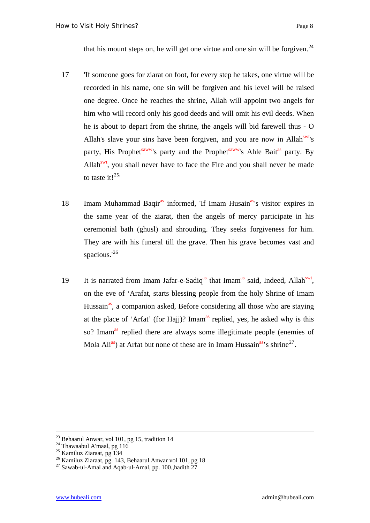that his mount steps on, he will get one virtue and one sin will be forgiven.<sup>[24](#page-7-0)</sup>

- 17 'If someone goes for ziarat on foot, for every step he takes, one virtue will be recorded in his name, one sin will be forgiven and his level will be raised one degree. Once he reaches the shrine, Allah will appoint two angels for him who will record only his good deeds and will omit his evil deeds. When he is about to depart from the shrine, the angels will bid farewell thus - O Allah's slave your sins have been forgiven, and you are now in Allah<sup>swt</sup>'s party, His Prophet<sup>saww</sup>'s party and the Prophet<sup>saww</sup>'s Ahle Bait<sup>as</sup> party. By Allah<sup>swt</sup>, you shall never have to face the Fire and you shall never be made to taste it! $^{25}$  $^{25}$  $^{25}$ '
- 18 Imam Muhammad Baqir<sup>as</sup> informed, 'If Imam Husain<sup>as'</sup>s visitor expires in the same year of the ziarat, then the angels of mercy participate in his ceremonial bath (ghusl) and shrouding. They seeks forgiveness for him. They are with his funeral till the grave. Then his grave becomes vast and spacious.<sup>'[26](#page-7-2)</sup>
- 19 It is narrated from Imam Jafar-e-Sadiq<sup>as</sup> that Imam<sup>as</sup> said, Indeed, Allah<sup>swt</sup>, on the eve of 'Arafat, starts blessing people from the holy Shrine of Imam Hussain<sup>as</sup>, a companion asked, Before considering all those who are staying at the place of 'Arfat' (for Hajj)? Imam<sup>as</sup> replied, yes, he asked why is this so? Imam<sup>as</sup> replied there are always some illegitimate people (enemies of Mola Ali<sup>as</sup>) at Arfat but none of these are in Imam Hussain<sup>as</sup>'s shrine<sup>[27](#page-7-3)</sup>.

 $23$  Behaarul Anwar, vol 101, pg 15, tradition 14

<span id="page-7-0"></span><sup>&</sup>lt;sup>24</sup> Thawaabul A'maal, pg 116

<span id="page-7-1"></span><sup>&</sup>lt;sup>25</sup> Kamiluz Ziaraat, pg<sup>134</sup>

<span id="page-7-2"></span><sup>&</sup>lt;sup>26</sup> Kamiluz Ziaraat, pg. 143, Behaarul Anwar vol 101, pg 18

<span id="page-7-3"></span><sup>&</sup>lt;sup>27</sup> Sawab-ul-Amal and Aqab-ul-Amal, pp. 100.,hadith <sup>27</sup>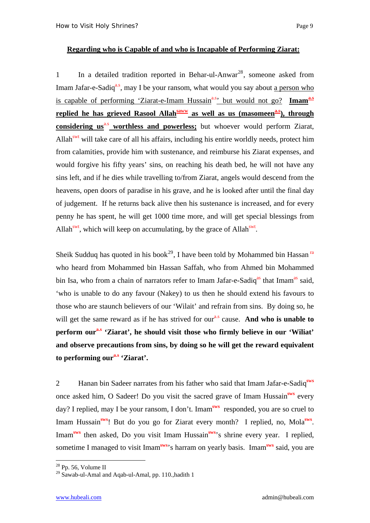## **Regarding who is Capable of and who is Incapable of Performing Ziarat:**

1 In a detailed tradition reported in Behar-ul-Anwar<sup>[28](#page-8-0)</sup>, someone asked from Imam Jafar-e-Sadiq<sup>a.s</sup>, may I be your ransom, what would you say about a person who is capable of performing 'Ziarat-e-Imam Hussain<sup>a.s</sup>' but would not go? Imam<sup>a.s</sup> replied he has grieved Rasool Allah<sup>saww</sup> as well as us (masomeen<sup>a.s</sup>), through **considering us<sup>a.s</sup>** worthless and powerless; but whoever would perform Ziarat, Allah<sup>swt</sup> will take care of all his affairs, including his entire worldly needs, protect him from calamities, provide him with sustenance, and reimburse his Ziarat expenses, and would forgive his fifty years' sins, on reaching his death bed, he will not have any sins left, and if he dies while travelling to/from Ziarat, angels would descend from the heavens, open doors of paradise in his grave, and he is looked after until the final day of judgement. If he returns back alive then his sustenance is increased, and for every penny he has spent, he will get 1000 time more, and will get special blessings from Allah<sup>swt</sup>, which will keep on accumulating, by the grace of Allah<sup>swt</sup>.

Sheik Sudduq has quoted in his book<sup>[29](#page-8-1)</sup>, I have been told by Mohammed bin Hassan<sup>ra</sup> who heard from Mohammed bin Hassan Saffah, who from Ahmed bin Mohammed bin Isa, who from a chain of narrators refer to Imam Jafar-e-Sadiq<sup>as</sup> that Imam<sup>as</sup> said, 'who is unable to do any favour (Nakey) to us then he should extend his favours to those who are staunch believers of our 'Wilait' and refrain from sins. By doing so, he will get the same reward as if he has strived for our<sup>alleque</sup> cause. **And who is unable to perform oura.s 'Ziarat', he should visit those who firmly believe in our 'Wiliat' and observe precautions from sins, by doing so he will get the reward equivalent to performing oura.s 'Ziarat'.** 

2 Hanan bin Sadeer narrates from his father who said that Imam Jafar-e-Sadiq**sws** once asked him, O Sadeer! Do you visit the sacred grave of Imam Hussain**sws** every day? I replied, may I be your ransom, I don't. Imam**sws** responded, you are so cruel to Imam Hussain**sws**! But do you go for Ziarat every month? I replied, no, Mola**sws**. Imam**sws** then asked, Do you visit Imam Hussain**sws**'s shrine every year. I replied, sometime I managed to visit Imam**sws**'s harram on yearly basis. Imam**sws** said, you are

<span id="page-8-0"></span> $28$  Pp. 56, Volume II

<span id="page-8-1"></span> $^{29}$  Sawab-ul-Amal and Aqab-ul-Amal, pp. 110., hadith 1